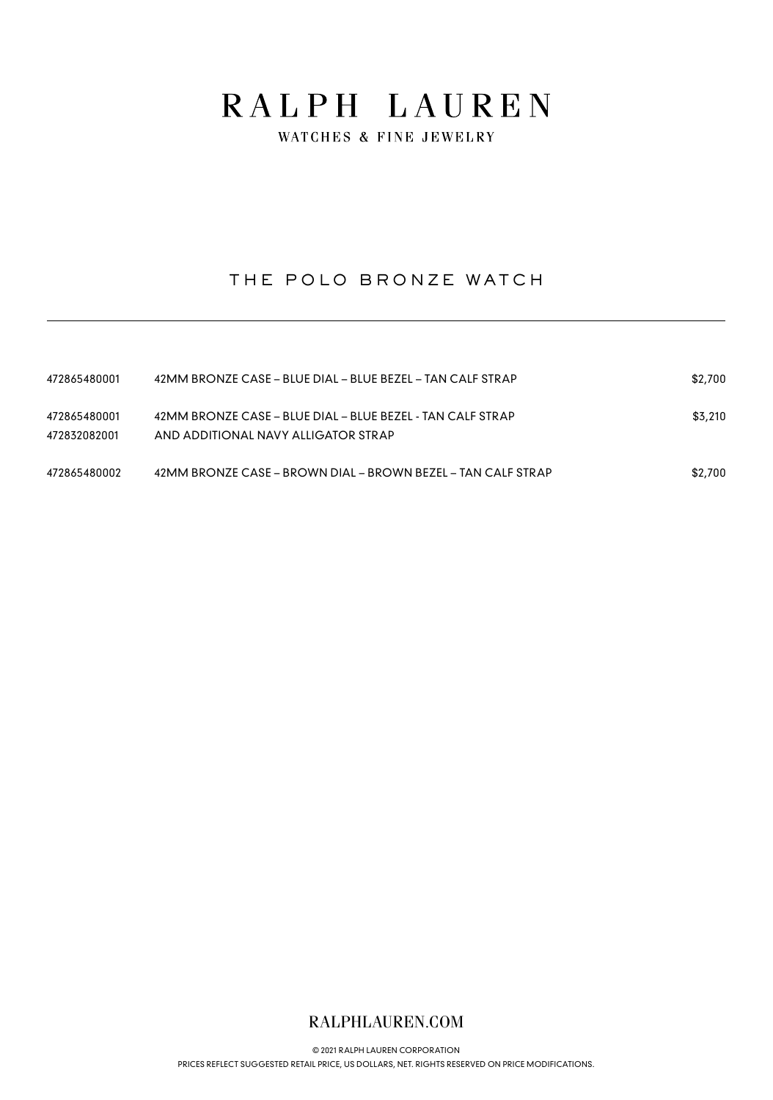WATCHES & FINE JEWELRY

## THE POLO BRONZE WATCH

| 472865480001                 | 42MM BRONZE CASE - BLUE DIAL - BLUE BEZEL - TAN CALF STRAP                                        | \$2,700 |
|------------------------------|---------------------------------------------------------------------------------------------------|---------|
| 472865480001<br>472832082001 | 42MM BRONZE CASE - BLUE DIAL - BLUE BEZEL - TAN CALF STRAP<br>AND ADDITIONAL NAVY ALLIGATOR STRAP | \$3,210 |
| 472865480002                 | 42MM BRONZE CASE – BROWN DIAL – BROWN BEZEL – TAN CALF STRAP                                      | \$2,700 |

### RALPHLAUREN.COM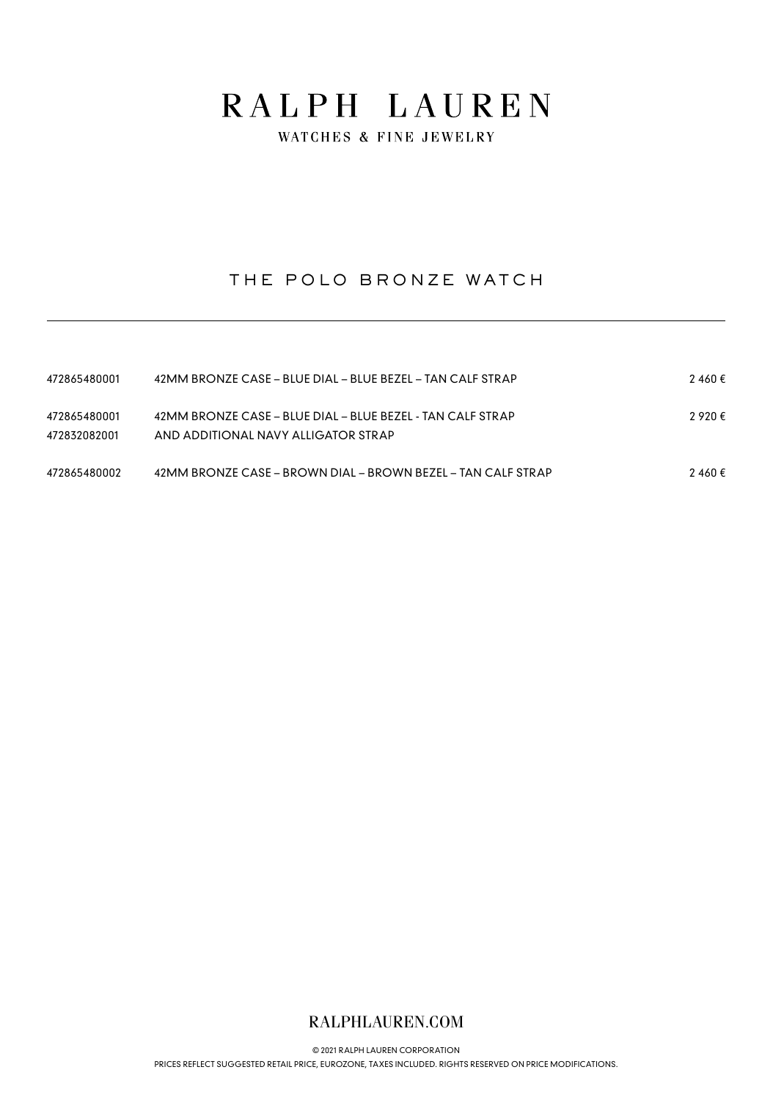WATCHES & FINE JEWELRY

## THE POLO BRONZE WATCH

| 472865480001                 | 42MM BRONZE CASE – BLUE DIAL – BLUE BEZEL – TAN CALF STRAP                                        | 2460€   |
|------------------------------|---------------------------------------------------------------------------------------------------|---------|
| 472865480001<br>472832082001 | 42MM BRONZE CASE – BLUE DIAL – BLUE BEZEL - TAN CALF STRAP<br>AND ADDITIONAL NAVY ALLIGATOR STRAP | ? 92Ո € |
| 472865480002                 | 42MM BRONZE CASE – BROWN DIAL – BROWN BEZEL – TAN CALF STRAP                                      | 2460€   |

### RALPHLAUREN.COM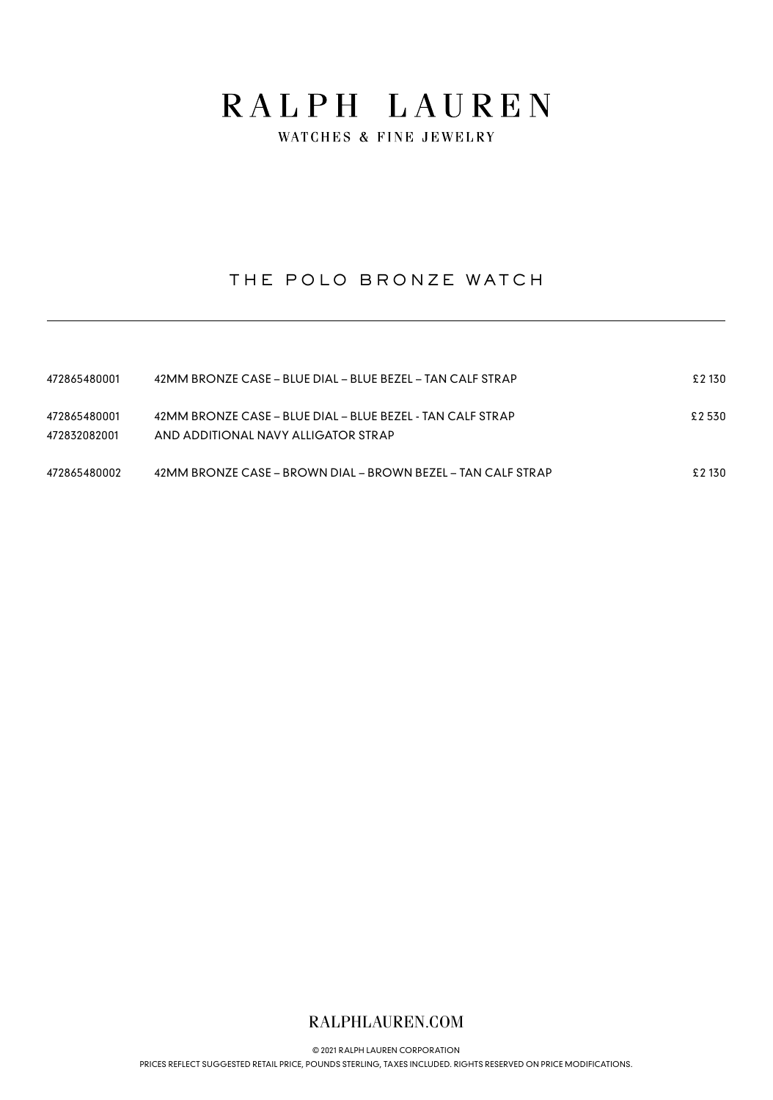WATCHES & FINE JEWELRY

## THE POLO BRONZE WATCH

| 472865480001                 | 42MM BRONZE CASE – BLUE DIAL – BLUE BEZEL – TAN CALF STRAP                                        | £ 2 130 |
|------------------------------|---------------------------------------------------------------------------------------------------|---------|
| 472865480001<br>472832082001 | 42MM BRONZE CASE – BLUE DIAL – BLUE BEZEL - TAN CALF STRAP<br>AND ADDITIONAL NAVY ALLIGATOR STRAP | £2530   |
| 472865480002                 | 42MM BRONZE CASE – BROWN DIAL – BROWN BEZEL – TAN CALF STRAP                                      | £2 130  |

### RALPHLAUREN.COM

© 2021 RALPH LAUREN CORPORATION [PRICES REFLECT SUGGESTED RETAIL PRICE, POUNDS STERLING, TAXES INCLUDED. RIGHTS RESERVED ON PRICE MODIFICATIONS.](https://www.ralphlauren.com)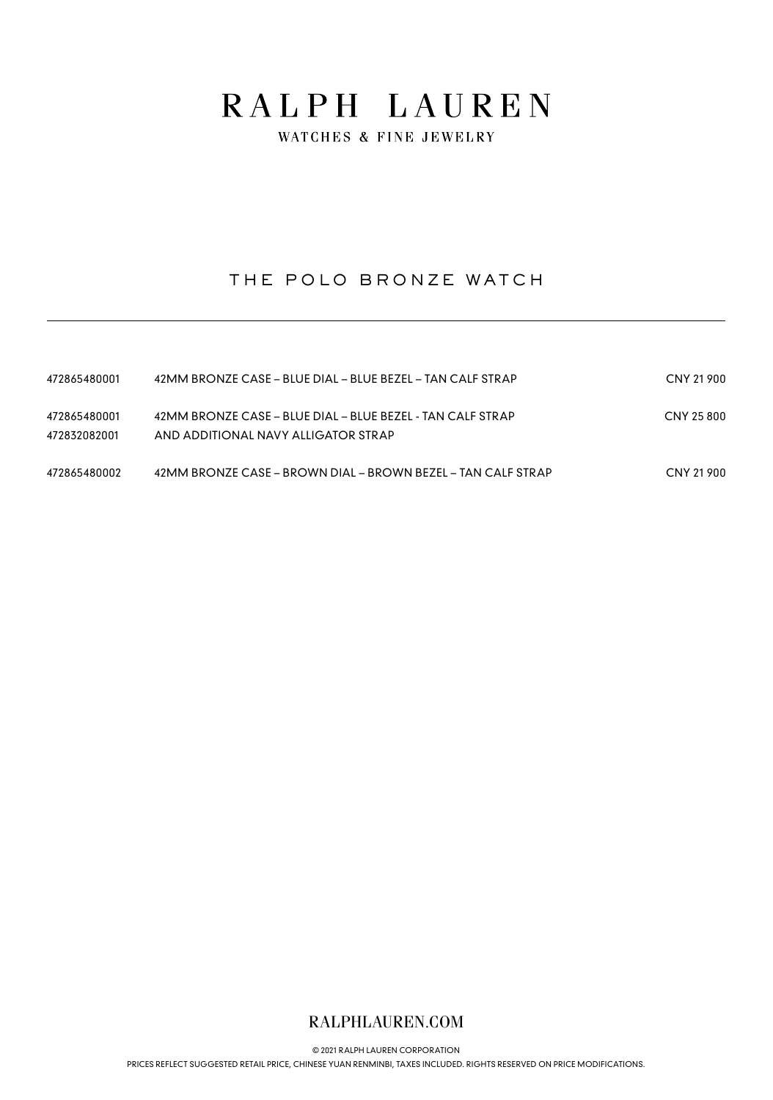WATCHES & FINE JEWELRY

## THE POLO BRONZE WATCH

| 472865480001                 | 42MM BRONZE CASE – BLUE DIAL – BLUE BEZEL – TAN CALF STRAP                                        | CNY 21 900 |
|------------------------------|---------------------------------------------------------------------------------------------------|------------|
| 472865480001<br>472832082001 | 42MM BRONZE CASE - BLUE DIAL - BLUE BEZEL - TAN CALF STRAP<br>AND ADDITIONAL NAVY ALLIGATOR STRAP | CNY 25 800 |
| 472865480002                 | 42MM BRONZE CASE – BROWN DIAL – BROWN BEZEL – TAN CALF STRAP                                      | CNY 21 900 |

### RALPHLAUREN.COM

© 2021 RALPH LAUREN CORPORATION

[PRICES REFLECT SUGGESTED RETAIL PRICE, CHINESE YUAN RENMINBI, TAXES INCLUDED. RIGHTS RESERVED ON PRICE MODIFICATIONS.](https://www.ralphlauren.com)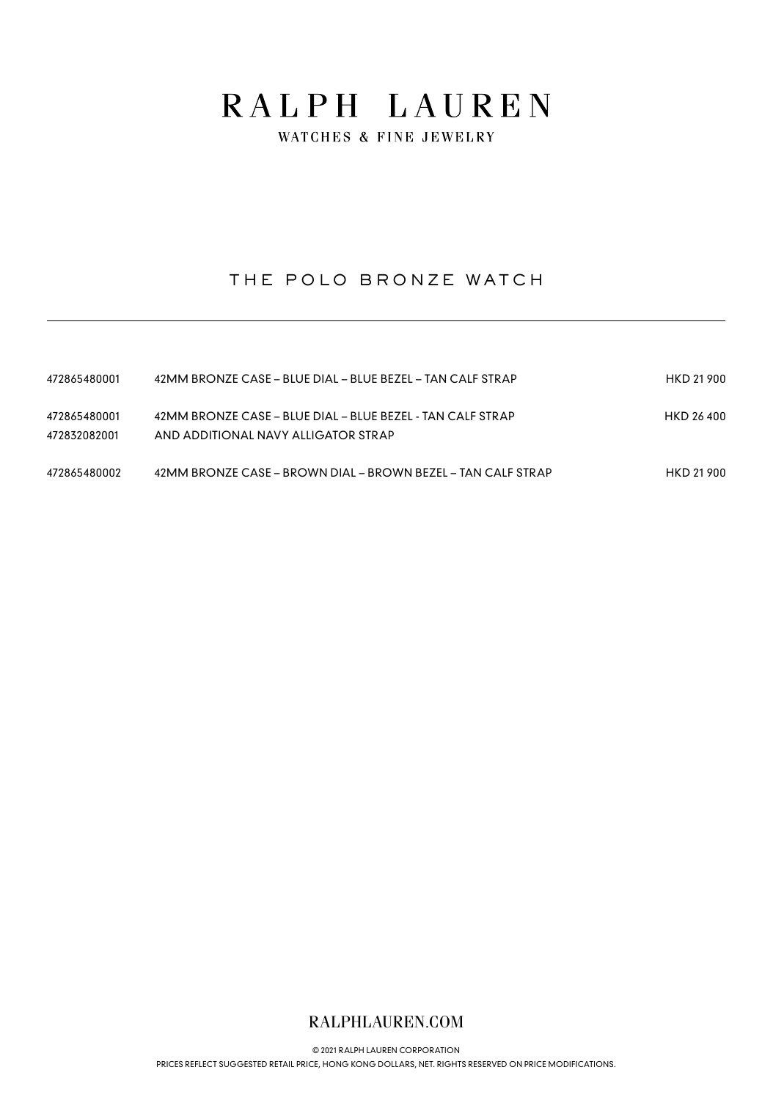WATCHES & FINE JEWELRY

## THE POLO BRONZE WATCH

| 472865480001                 | 42MM BRONZE CASE – BLUE DIAL – BLUE BEZEL – TAN CALF STRAP                                        | HKD 21 900 |
|------------------------------|---------------------------------------------------------------------------------------------------|------------|
| 472865480001<br>472832082001 | 42MM BRONZE CASE - BLUE DIAL - BLUE BEZEL - TAN CALF STRAP<br>AND ADDITIONAL NAVY ALLIGATOR STRAP | HKD 26400  |
| 472865480002                 | 42MM BRONZE CASE – BROWN DIAL – BROWN BEZEL – TAN CALF STRAP                                      | HKD 21 900 |

### RALPHLAUREN.COM